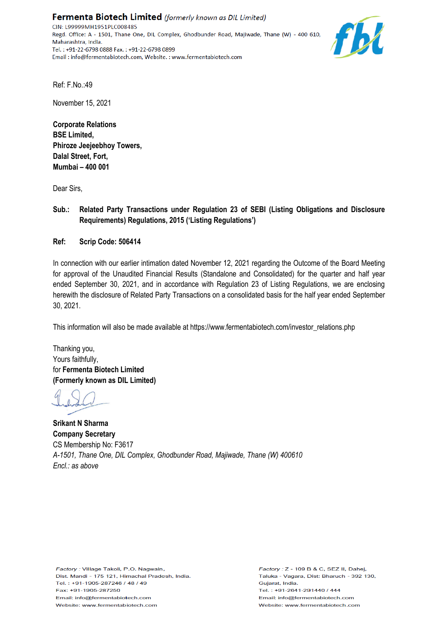Fermenta Biotech Limited (formerly known as DIL Limited) CIN: L99999MH1951PLC008485 Regd. Office: A - 1501, Thane One, DIL Complex, Ghodbunder Road, Majiwade, Thane (W) - 400 610, Maharashtra, India. Tel.: +91-22-6798 0888 Fax.: +91-22-6798 0899 Email: info@fermentabiotech.com, Website.: www.fermentabiotech.com



Ref: F.No.:49

November 15, 2021

**Corporate Relations BSE Limited, Phiroze Jeejeebhoy Towers, Dalal Street, Fort, Mumbai – 400 001**

Dear Sirs,

**Sub.: Related Party Transactions under Regulation 23 of SEBI (Listing Obligations and Disclosure Requirements) Regulations, 2015 ('Listing Regulations')**

# **Ref: Scrip Code: 506414**

In connection with our earlier intimation dated November 12, 2021 regarding the Outcome of the Board Meeting for approval of the Unaudited Financial Results (Standalone and Consolidated) for the quarter and half year ended September 30, 2021, and in accordance with Regulation 23 of Listing Regulations, we are enclosing herewith the disclosure of Related Party Transactions on a consolidated basis for the half year ended September 30, 2021.

This information will also be made available at https://www.fermentabiotech.com/investor\_relations.php

Thanking you, Yours faithfully, for **Fermenta Biotech Limited (Formerly known as DIL Limited)**

**Srikant N Sharma Company Secretary** CS Membership No: F3617 *A-1501, Thane One, DIL Complex, Ghodbunder Road, Majiwade, Thane (W) 400610 Encl.: as above*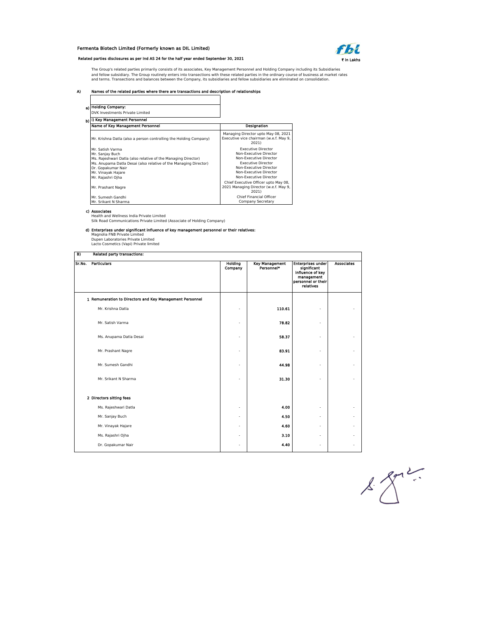# Fermenta Biotech Limited (Formerly known as DIL Limited)



 $\overline{\phantom{a}}$ 

# Related parties disclosures as per Ind AS 24 for the half year ended September 30, 2021 **in Lakhsum and September 30, 2021**

The Group's related parties primarily consists of its associates, Key Management Personnel and Holding Company including its Subsidiaries<br>and fellow subsidiary. The Group routinely enters into transections with these relat

# A) Names of the related parties where there are transactions and description of relationships

| a) Holding Company:                                                                                                                                                                                                                       |                                                                                                                                                                                          |
|-------------------------------------------------------------------------------------------------------------------------------------------------------------------------------------------------------------------------------------------|------------------------------------------------------------------------------------------------------------------------------------------------------------------------------------------|
| DVK Investments Private Limited                                                                                                                                                                                                           |                                                                                                                                                                                          |
| i) Key Management Personnel                                                                                                                                                                                                               |                                                                                                                                                                                          |
| Name of Key Management Personnel                                                                                                                                                                                                          | Designation                                                                                                                                                                              |
| Mr. Krishna Datla (also a person controlling the Holding Company)                                                                                                                                                                         | Managing Director upto May 08, 2021<br>Executive vice chairman (w.e.f. May 9,<br>2021)                                                                                                   |
| Mr. Satish Varma<br>Mr. Sanjay Buch<br>Ms. Rajeshwari Datla (also relative of the Managing Director)<br>Ms. Anupama Datla Desai (also relative of the Managing Director)<br>Dr. Gopakumar Nair<br>Mr. Vinayak Hajare<br>Mr. Rajashri Ojha | <b>Executive Director</b><br>Non-Executive Director<br>Non-Executive Director<br><b>Executive Director</b><br>Non-Executive Director<br>Non-Executive Director<br>Non-Executive Director |
| Mr. Prashant Nagre                                                                                                                                                                                                                        | Chief Executive Officer upto May 08,<br>2021 Managing Director (w.e.f. May 9,<br>2021)                                                                                                   |
| Mr. Sumesh Gandhi<br>Mr. Srikant N Sharma                                                                                                                                                                                                 | Chief Financial Officer<br>Company Secretary                                                                                                                                             |

**c) Associates**<br>Health and Wellness India Private Limited<br>Silk Road Communications Private Limited (Associate of Holding Company)

**d) Enterprises under significant influence of key management personnel or their relatives:**<br>Magnolia FNB Private Limited<br>Dupen Laboratories Private Limited<br>Lacto Cosmetics (Vapi) Private limited

### B) Related party transactions:

| Sr.No. | <b>Particulars</b>                                       | Holding<br>Company | <b>Key Management</b><br>Personnel* | <b>Enterprises under</b><br>significant<br>influence of key<br>management<br>personnel or their<br>relatives | <b>Associates</b> |
|--------|----------------------------------------------------------|--------------------|-------------------------------------|--------------------------------------------------------------------------------------------------------------|-------------------|
|        | 1 Remuneration to Directors and Key Management Personnel |                    |                                     |                                                                                                              |                   |
|        | Mr. Krishna Datla                                        |                    | 110.61                              |                                                                                                              |                   |
|        | Mr. Satish Varma                                         |                    | 78.82                               |                                                                                                              |                   |
|        | Ms. Anupama Datla Desai                                  |                    | 58.37                               |                                                                                                              |                   |
|        | Mr. Prashant Nagre                                       |                    | 83.91                               |                                                                                                              |                   |
|        | Mr. Sumesh Gandhi                                        |                    | 44.98                               |                                                                                                              |                   |
|        | Mr. Srikant N Sharma                                     |                    | 31.30                               |                                                                                                              |                   |
|        | 2 Directors sitting fees                                 |                    |                                     |                                                                                                              |                   |
|        | Ms. Rajeshwari Datla                                     | ٠                  | 4.00                                |                                                                                                              |                   |
|        | Mr. Sanjay Buch                                          | ٠                  | 4.50                                | ÷                                                                                                            |                   |
|        | Mr. Vinayak Hajare                                       | ٠                  | 4.60                                | ÷,                                                                                                           |                   |
|        | Ms. Rajashri Ojha                                        | ٠                  | 3.10                                | ٠                                                                                                            |                   |
|        | Dr. Gopakumar Nair                                       |                    | 4.40                                |                                                                                                              |                   |

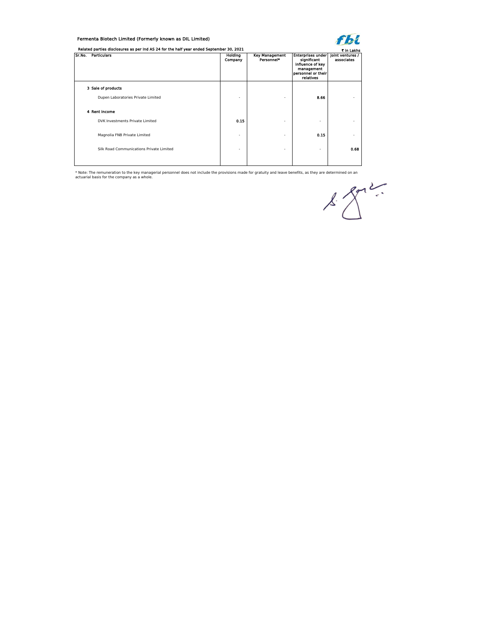# Fermenta Biotech Limited (Formerly known as DIL Limited) Fermenta Blotech Limited (Formerly known as DIL Limited)<br>Related parties disclosures as per Ind AS 24 for the half year ended September 30, 2021



| Sr.No. | <b>Particulars</b>                                       | Holding<br>Company | <b>Key Management</b><br>Personnel* | <b>Enterprises under</b><br>significant<br>influence of key<br>management<br>personnel or their<br>relatives | Joint ventures /<br>associates |
|--------|----------------------------------------------------------|--------------------|-------------------------------------|--------------------------------------------------------------------------------------------------------------|--------------------------------|
|        | 3 Sale of products<br>Dupen Laboratories Private Limited | -                  | $\overline{\phantom{a}}$            | 8.66                                                                                                         |                                |
|        | 4 Rent Income                                            |                    |                                     |                                                                                                              |                                |
|        | DVK Investments Private Limited                          | 0.15               | $\overline{\phantom{a}}$            | $\overline{\phantom{a}}$                                                                                     |                                |
|        | Magnolia FNB Private Limited                             | ٠                  | ٠                                   | 0.15                                                                                                         |                                |
|        | Silk Road Communications Private Limited                 | ۰                  | $\overline{\phantom{a}}$            | ٠                                                                                                            | 0.68                           |

\* Note: The remuneration to the key managerial personnel does not include the provisions made for gratuity and leave benefits, as they are determined on an actuarial basis for the company as a whole.

 $\frac{1}{2}$